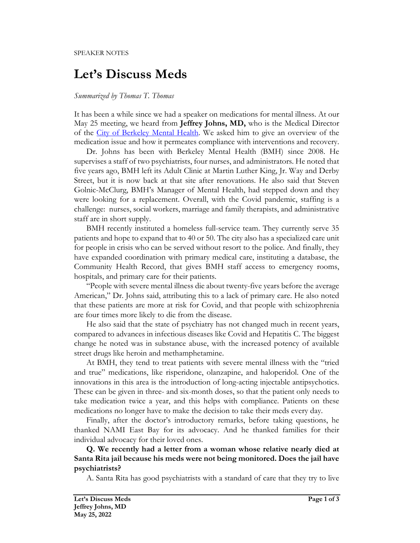# **Let's Discuss Meds**

## *Summarized by Thomas T. Thomas*

It has been a while since we had a speaker on medications for mental illness. At our May 25 meeting, we heard from **Jeffrey Johns, MD,** who is the Medical Director of the [City of Berkeley Mental Health](https://berkeleycity.networkofcare.org/mh/services/index.aspx). We asked him to give an overview of the medication issue and how it permeates compliance with interventions and recovery.

Dr. Johns has been with Berkeley Mental Health (BMH) since 2008. He supervises a staff of two psychiatrists, four nurses, and administrators. He noted that five years ago, BMH left its Adult Clinic at Martin Luther King, Jr. Way and Derby Street, but it is now back at that site after renovations. He also said that Steven Golnic-McClurg, BMH's Manager of Mental Health, had stepped down and they were looking for a replacement. Overall, with the Covid pandemic, staffing is a challenge: nurses, social workers, marriage and family therapists, and administrative staff are in short supply.

BMH recently instituted a homeless full-service team. They currently serve 35 patients and hope to expand that to 40 or 50. The city also has a specialized care unit for people in crisis who can be served without resort to the police. And finally, they have expanded coordination with primary medical care, instituting a database, the Community Health Record, that gives BMH staff access to emergency rooms, hospitals, and primary care for their patients.

"People with severe mental illness die about twenty-five years before the average American," Dr. Johns said, attributing this to a lack of primary care. He also noted that these patients are more at risk for Covid, and that people with schizophrenia are four times more likely to die from the disease.

He also said that the state of psychiatry has not changed much in recent years, compared to advances in infectious diseases like Covid and Hepatitis C. The biggest change he noted was in substance abuse, with the increased potency of available street drugs like heroin and methamphetamine.

At BMH, they tend to treat patients with severe mental illness with the "tried and true" medications, like risperidone, olanzapine, and haloperidol. One of the innovations in this area is the introduction of long-acting injectable antipsychotics. These can be given in three- and six-month doses, so that the patient only needs to take medication twice a year, and this helps with compliance. Patients on these medications no longer have to make the decision to take their meds every day.

Finally, after the doctor's introductory remarks, before taking questions, he thanked NAMI East Bay for its advocacy. And he thanked families for their individual advocacy for their loved ones.

**Q. We recently had a letter from a woman whose relative nearly died at Santa Rita jail because his meds were not being monitored. Does the jail have psychiatrists?**

A. Santa Rita has good psychiatrists with a standard of care that they try to live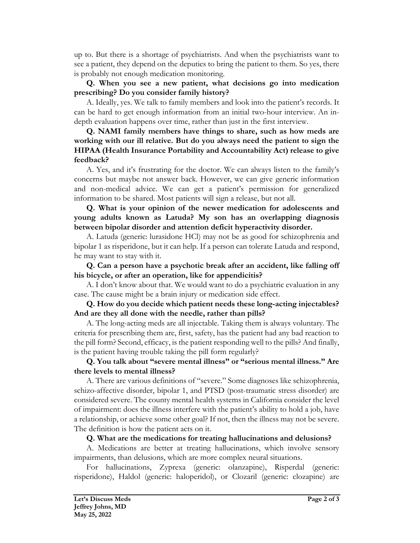up to. But there is a shortage of psychiatrists. And when the psychiatrists want to see a patient, they depend on the deputies to bring the patient to them. So yes, there is probably not enough medication monitoring.

## **Q. When you see a new patient, what decisions go into medication prescribing? Do you consider family history?**

A. Ideally, yes. We talk to family members and look into the patient's records. It can be hard to get enough information from an initial two-hour interview. An indepth evaluation happens over time, rather than just in the first interview.

## **Q. NAMI family members have things to share, such as how meds are working with our ill relative. But do you always need the patient to sign the HIPAA (Health Insurance Portability and Accountability Act) release to give feedback?**

A. Yes, and it's frustrating for the doctor. We can always listen to the family's concerns but maybe not answer back. However, we can give generic information and non-medical advice. We can get a patient's permission for generalized information to be shared. Most patients will sign a release, but not all.

**Q. What is your opinion of the newer medication for adolescents and young adults known as Latuda? My son has an overlapping diagnosis between bipolar disorder and attention deficit hyperactivity disorder.**

A. Latuda (generic: lurasidone HCl) may not be as good for schizophrenia and bipolar 1 as risperidone, but it can help. If a person can tolerate Latuda and respond, he may want to stay with it.

**Q. Can a person have a psychotic break after an accident, like falling off his bicycle, or after an operation, like for appendicitis?**

A. I don't know about that. We would want to do a psychiatric evaluation in any case. The cause might be a brain injury or medication side effect.

## **Q. How do you decide which patient needs these long-acting injectables? And are they all done with the needle, rather than pills?**

A. The long-acting meds are all injectable. Taking them is always voluntary. The criteria for prescribing them are, first, safety, has the patient had any bad reaction to the pill form? Second, efficacy, is the patient responding well to the pills? And finally, is the patient having trouble taking the pill form regularly?

## **Q. You talk about "severe mental illness" or "serious mental illness." Are there levels to mental illness?**

A. There are various definitions of "severe." Some diagnoses like schizophrenia, schizo-affective disorder, bipolar 1, and PTSD (post-traumatic stress disorder) are considered severe. The county mental health systems in California consider the level of impairment: does the illness interfere with the patient's ability to hold a job, have a relationship, or achieve some other goal? If not, then the illness may not be severe. The definition is how the patient acts on it.

#### **Q. What are the medications for treating hallucinations and delusions?**

A. Medications are better at treating hallucinations, which involve sensory impairments, than delusions, which are more complex neural situations.

For hallucinations, Zyprexa (generic: olanzapine), Risperdal (generic: risperidone), Haldol (generic: haloperidol), or Clozaril (generic: clozapine) are